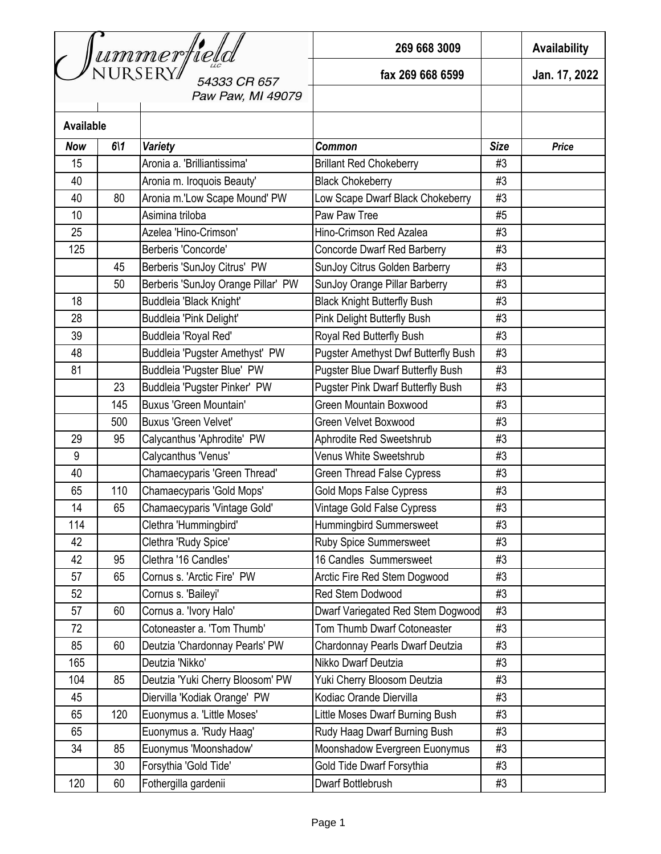| Jummerfield<br>54333 CR 657 |            |                                    | 269 668 3009                             |             | <b>Availability</b> |
|-----------------------------|------------|------------------------------------|------------------------------------------|-------------|---------------------|
|                             |            |                                    | fax 269 668 6599                         |             | Jan. 17, 2022       |
|                             |            | Paw Paw, MI 49079                  |                                          |             |                     |
| <b>Available</b>            |            |                                    |                                          |             |                     |
| <b>Now</b>                  | $6\vert 1$ | <b>Variety</b>                     | <b>Common</b>                            | <b>Size</b> | <b>Price</b>        |
| 15                          |            | Aronia a. 'Brilliantissima'        | <b>Brillant Red Chokeberry</b>           | #3          |                     |
| 40                          |            | Aronia m. Iroquois Beauty'         | <b>Black Chokeberry</b>                  | #3          |                     |
| 40                          | 80         | Aronia m.'Low Scape Mound' PW      | Low Scape Dwarf Black Chokeberry         | #3          |                     |
| 10                          |            | Asimina triloba                    | Paw Paw Tree                             | #5          |                     |
| 25                          |            | Azelea 'Hino-Crimson'              | Hino-Crimson Red Azalea                  | #3          |                     |
| 125                         |            | Berberis 'Concorde'                | <b>Concorde Dwarf Red Barberry</b>       | #3          |                     |
|                             | 45         | Berberis 'SunJoy Citrus' PW        | SunJoy Citrus Golden Barberry            | #3          |                     |
|                             | 50         | Berberis 'SunJoy Orange Pillar' PW | SunJoy Orange Pillar Barberry            | #3          |                     |
| 18                          |            | Buddleia 'Black Knight'            | <b>Black Knight Butterfly Bush</b>       | #3          |                     |
| 28                          |            | Buddleia 'Pink Delight'            | Pink Delight Butterfly Bush              | #3          |                     |
| 39                          |            | Buddleia 'Royal Red'               | Royal Red Butterfly Bush                 | #3          |                     |
| 48                          |            | Buddleia 'Pugster Amethyst' PW     | Pugster Amethyst Dwf Butterfly Bush      | #3          |                     |
| 81                          |            | Buddleia 'Pugster Blue' PW         | <b>Pugster Blue Dwarf Butterfly Bush</b> | #3          |                     |
|                             | 23         | Buddleia 'Pugster Pinker' PW       | <b>Pugster Pink Dwarf Butterfly Bush</b> | #3          |                     |
|                             | 145        | <b>Buxus 'Green Mountain'</b>      | Green Mountain Boxwood                   | #3          |                     |
|                             | 500        | <b>Buxus 'Green Velvet'</b>        | Green Velvet Boxwood                     | #3          |                     |
| 29                          | 95         | Calycanthus 'Aphrodite' PW         | Aphrodite Red Sweetshrub                 | #3          |                     |
| 9                           |            | Calycanthus 'Venus'                | Venus White Sweetshrub                   | #3          |                     |
| 40                          |            | Chamaecyparis 'Green Thread'       | <b>Green Thread False Cypress</b>        | #3          |                     |
| 65                          | 110        | Chamaecyparis 'Gold Mops'          | <b>Gold Mops False Cypress</b>           | #3          |                     |
| 14                          | 65         | Chamaecyparis 'Vintage Gold'       | Vintage Gold False Cypress               | #3          |                     |
| 114                         |            | Clethra 'Hummingbird'              | Hummingbird Summersweet                  | #3          |                     |
| 42                          |            | Clethra 'Rudy Spice'               | <b>Ruby Spice Summersweet</b>            | #3          |                     |
| 42                          | 95         | Clethra '16 Candles'               | 16 Candles Summersweet                   | #3          |                     |
| 57                          | 65         | Cornus s. 'Arctic Fire' PW         | Arctic Fire Red Stem Dogwood             | #3          |                     |
| 52                          |            | Cornus s. 'Baileyi'                | Red Stem Dodwood                         | #3          |                     |
| 57                          | 60         | Cornus a. 'Ivory Halo'             | Dwarf Variegated Red Stem Dogwood        | #3          |                     |
| 72                          |            | Cotoneaster a. 'Tom Thumb'         | Tom Thumb Dwarf Cotoneaster              | #3          |                     |
| 85                          | 60         | Deutzia 'Chardonnay Pearls' PW     | Chardonnay Pearls Dwarf Deutzia          | #3          |                     |
| 165                         |            | Deutzia 'Nikko'                    | Nikko Dwarf Deutzia                      | #3          |                     |
| 104                         | 85         | Deutzia 'Yuki Cherry Bloosom' PW   | Yuki Cherry Bloosom Deutzia              | #3          |                     |
| 45                          |            | Diervilla 'Kodiak Orange' PW       | Kodiac Orande Diervilla                  | #3          |                     |
| 65                          | 120        | Euonymus a. 'Little Moses'         | Little Moses Dwarf Burning Bush          | #3          |                     |
| 65                          |            | Euonymus a. 'Rudy Haag'            | Rudy Haag Dwarf Burning Bush             | #3          |                     |
| 34                          | 85         | Euonymus 'Moonshadow'              | Moonshadow Evergreen Euonymus            | #3          |                     |
|                             | 30         | Forsythia 'Gold Tide'              | Gold Tide Dwarf Forsythia                | #3          |                     |
| 120                         | 60         | Fothergilla gardenii               | Dwarf Bottlebrush                        | #3          |                     |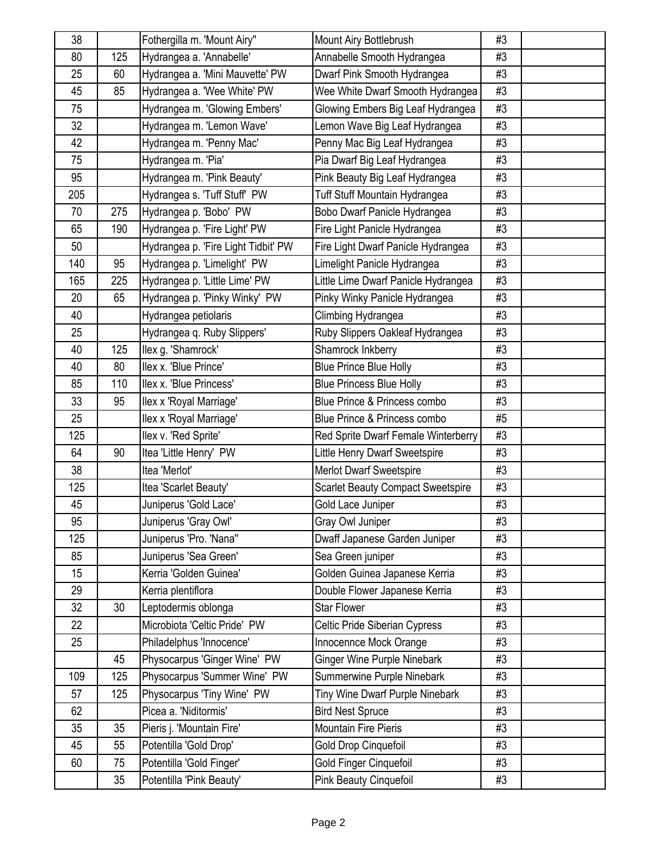| 38  |     | Fothergilla m. 'Mount Airy"         | Mount Airy Bottlebrush                   | #3 |  |
|-----|-----|-------------------------------------|------------------------------------------|----|--|
| 80  | 125 | Hydrangea a. 'Annabelle'            | Annabelle Smooth Hydrangea               | #3 |  |
| 25  | 60  | Hydrangea a. 'Mini Mauvette' PW     | Dwarf Pink Smooth Hydrangea              | #3 |  |
| 45  | 85  | Hydrangea a. 'Wee White' PW         | Wee White Dwarf Smooth Hydrangea         | #3 |  |
| 75  |     | Hydrangea m. 'Glowing Embers'       | Glowing Embers Big Leaf Hydrangea        | #3 |  |
| 32  |     | Hydrangea m. 'Lemon Wave'           | Lemon Wave Big Leaf Hydrangea            | #3 |  |
| 42  |     | Hydrangea m. 'Penny Mac'            | Penny Mac Big Leaf Hydrangea             | #3 |  |
| 75  |     | Hydrangea m. 'Pia'                  | Pia Dwarf Big Leaf Hydrangea             | #3 |  |
| 95  |     | Hydrangea m. 'Pink Beauty'          | Pink Beauty Big Leaf Hydrangea           | #3 |  |
| 205 |     | Hydrangea s. 'Tuff Stuff' PW        | Tuff Stuff Mountain Hydrangea            | #3 |  |
| 70  | 275 | Hydrangea p. 'Bobo' PW              | Bobo Dwarf Panicle Hydrangea             | #3 |  |
| 65  | 190 | Hydrangea p. 'Fire Light' PW        | Fire Light Panicle Hydrangea             | #3 |  |
| 50  |     | Hydrangea p. 'Fire Light Tidbit' PW | Fire Light Dwarf Panicle Hydrangea       | #3 |  |
| 140 | 95  | Hydrangea p. 'Limelight' PW         | Limelight Panicle Hydrangea              | #3 |  |
| 165 | 225 | Hydrangea p. 'Little Lime' PW       | Little Lime Dwarf Panicle Hydrangea      | #3 |  |
| 20  | 65  | Hydrangea p. 'Pinky Winky' PW       | Pinky Winky Panicle Hydrangea            | #3 |  |
| 40  |     | Hydrangea petiolaris                | Climbing Hydrangea                       | #3 |  |
| 25  |     | Hydrangea q. Ruby Slippers'         | Ruby Slippers Oakleaf Hydrangea          | #3 |  |
| 40  | 125 | llex g. 'Shamrock'                  | Shamrock Inkberry                        | #3 |  |
| 40  | 80  | llex x. 'Blue Prince'               | <b>Blue Prince Blue Holly</b>            | #3 |  |
| 85  | 110 | Ilex x. 'Blue Princess'             | <b>Blue Princess Blue Holly</b>          | #3 |  |
| 33  | 95  | llex x 'Royal Marriage'             | Blue Prince & Princess combo             | #3 |  |
| 25  |     | llex x 'Royal Marriage'             | Blue Prince & Princess combo             | #5 |  |
| 125 |     | llex v. 'Red Sprite'                | Red Sprite Dwarf Female Winterberry      | #3 |  |
| 64  | 90  | Itea 'Little Henry' PW              | Little Henry Dwarf Sweetspire            | #3 |  |
| 38  |     | Itea 'Merlot'                       | Merlot Dwarf Sweetspire                  | #3 |  |
| 125 |     | Itea 'Scarlet Beauty'               | <b>Scarlet Beauty Compact Sweetspire</b> | #3 |  |
| 45  |     | Juniperus 'Gold Lace'               | Gold Lace Juniper                        | #3 |  |
| 95  |     | Juniperus 'Gray Owl'                | Gray Owl Juniper                         | #3 |  |
| 125 |     | Juniperus 'Pro. 'Nana"              | Dwaff Japanese Garden Juniper            | #3 |  |
| 85  |     | Juniperus 'Sea Green'               | Sea Green juniper                        | #3 |  |
| 15  |     | Kerria 'Golden Guinea'              | Golden Guinea Japanese Kerria            | #3 |  |
| 29  |     | Kerria plentiflora                  | Double Flower Japanese Kerria            | #3 |  |
| 32  | 30  | Leptodermis oblonga                 | <b>Star Flower</b>                       | #3 |  |
| 22  |     | Microbiota 'Celtic Pride' PW        | Celtic Pride Siberian Cypress            | #3 |  |
| 25  |     | Philadelphus 'Innocence'            | Innocennce Mock Orange                   | #3 |  |
|     | 45  | Physocarpus 'Ginger Wine' PW        | <b>Ginger Wine Purple Ninebark</b>       | #3 |  |
| 109 | 125 | Physocarpus 'Summer Wine' PW        | Summerwine Purple Ninebark               | #3 |  |
| 57  | 125 | Physocarpus 'Tiny Wine' PW          | Tiny Wine Dwarf Purple Ninebark          | #3 |  |
| 62  |     | Picea a. 'Niditormis'               | <b>Bird Nest Spruce</b>                  | #3 |  |
| 35  | 35  | Pieris j. 'Mountain Fire'           | <b>Mountain Fire Pieris</b>              | #3 |  |
| 45  | 55  | Potentilla 'Gold Drop'              | Gold Drop Cinquefoil                     | #3 |  |
| 60  | 75  | Potentilla 'Gold Finger'            | Gold Finger Cinquefoil                   | #3 |  |
|     | 35  | Potentilla 'Pink Beauty'            | <b>Pink Beauty Cinquefoil</b>            | #3 |  |